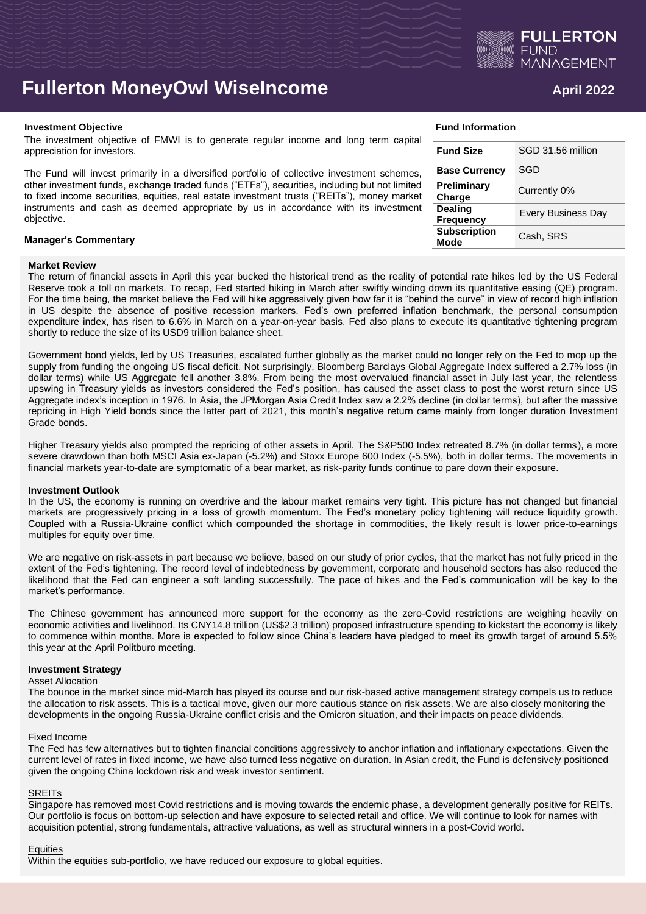

# **Fullerton MoneyOwl WiseIncome April 2022**

### **Investment Objective Fund Information**

The investment objective of FMWI is to generate regular income and long term capital appreciation for investors.

The Fund will invest primarily in a diversified portfolio of collective investment schemes, other investment funds, exchange traded funds ("ETFs"), securities, including but not limited to fixed income securities, equities, real estate investment trusts ("REITs"), money market instruments and cash as deemed appropriate by us in accordance with its investment objective.

### **Manager's Commentary**

# **Market Review**

The return of financial assets in April this year bucked the historical trend as the reality of potential rate hikes led by the US Federal Reserve took a toll on markets. To recap, Fed started hiking in March after swiftly winding down its quantitative easing (QE) program. For the time being, the market believe the Fed will hike aggressively given how far it is "behind the curve" in view of record high inflation in US despite the absence of positive recession markers. Fed's own preferred inflation benchmark, the personal consumption expenditure index, has risen to 6.6% in March on a year-on-year basis. Fed also plans to execute its quantitative tightening program shortly to reduce the size of its USD9 trillion balance sheet.

Government bond yields, led by US Treasuries, escalated further globally as the market could no longer rely on the Fed to mop up the supply from funding the ongoing US fiscal deficit. Not surprisingly, Bloomberg Barclays Global Aggregate Index suffered a 2.7% loss (in dollar terms) while US Aggregate fell another 3.8%. From being the most overvalued financial asset in July last year, the relentless upswing in Treasury yields as investors considered the Fed's position, has caused the asset class to post the worst return since US Aggregate index's inception in 1976. In Asia, the JPMorgan Asia Credit Index saw a 2.2% decline (in dollar terms), but after the massive repricing in High Yield bonds since the latter part of 2021, this month's negative return came mainly from longer duration Investment Grade bonds.

Higher Treasury yields also prompted the repricing of other assets in April. The S&P500 Index retreated 8.7% (in dollar terms), a more severe drawdown than both MSCI Asia ex-Japan (-5.2%) and Stoxx Europe 600 Index (-5.5%), both in dollar terms. The movements in financial markets year-to-date are symptomatic of a bear market, as risk-parity funds continue to pare down their exposure.

### **Investment Outlook**

In the US, the economy is running on overdrive and the labour market remains very tight. This picture has not changed but financial markets are progressively pricing in a loss of growth momentum. The Fed's monetary policy tightening will reduce liquidity growth. Coupled with a Russia-Ukraine conflict which compounded the shortage in commodities, the likely result is lower price-to-earnings multiples for equity over time.

We are negative on risk-assets in part because we believe, based on our study of prior cycles, that the market has not fully priced in the extent of the Fed's tightening. The record level of indebtedness by government, corporate and household sectors has also reduced the likelihood that the Fed can engineer a soft landing successfully. The pace of hikes and the Fed's communication will be key to the market's performance.

The Chinese government has announced more support for the economy as the zero-Covid restrictions are weighing heavily on economic activities and livelihood. Its CNY14.8 trillion (US\$2.3 trillion) proposed infrastructure spending to kickstart the economy is likely to commence within months. More is expected to follow since China's leaders have pledged to meet its growth target of around 5.5% this year at the April Politburo meeting.

# **Investment Strategy**

### **Asset Allocation**

The bounce in the market since mid-March has played its course and our risk-based active management strategy compels us to reduce the allocation to risk assets. This is a tactical move, given our more cautious stance on risk assets. We are also closely monitoring the developments in the ongoing Russia-Ukraine conflict crisis and the Omicron situation, and their impacts on peace dividends.

# Fixed Income

The Fed has few alternatives but to tighten financial conditions aggressively to anchor inflation and inflationary expectations. Given the current level of rates in fixed income, we have also turned less negative on duration. In Asian credit, the Fund is defensively positioned given the ongoing China lockdown risk and weak investor sentiment.

# SREITs

Singapore has removed most Covid restrictions and is moving towards the endemic phase, a development generally positive for REITs. Our portfolio is focus on bottom-up selection and have exposure to selected retail and office. We will continue to look for names with acquisition potential, strong fundamentals, attractive valuations, as well as structural winners in a post-Covid world.

# **Equities**

Within the equities sub-portfolio, we have reduced our exposure to global equities.

| <b>Fund Size</b>                   | SGD 31.56 million         |
|------------------------------------|---------------------------|
| <b>Base Currency</b>               | SGD                       |
| Preliminary<br>Charge              | Currently 0%              |
| <b>Dealing</b><br><b>Frequency</b> | <b>Every Business Day</b> |
| <b>Subscription</b><br>Mode        | Cash, SRS                 |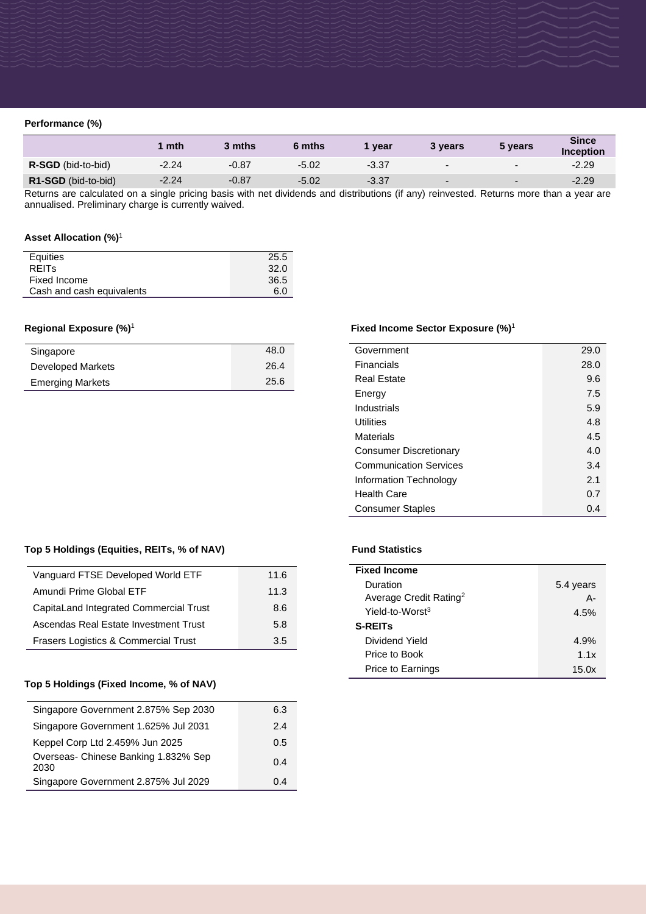# **Performance (%)**

|                           | $\mid$ mth | 3 mths  | 6 mths  | vear    | 3 vears                  | 5 years                  | <b>Since</b><br><b>Inception</b> |
|---------------------------|------------|---------|---------|---------|--------------------------|--------------------------|----------------------------------|
| <b>R-SGD</b> (bid-to-bid) | $-2.24$    | $-0.87$ | $-5.02$ | $-3.37$ | $\overline{\phantom{0}}$ | $\overline{\phantom{0}}$ | $-2.29$                          |
| R1-SGD (bid-to-bid)       | $-2.24$    | $-0.87$ | $-5.02$ | $-3.37$ | $\overline{\phantom{0}}$ | $\overline{\phantom{0}}$ | $-2.29$                          |

Returns are calculated on a single pricing basis with net dividends and distributions (if any) reinvested. Returns more than a year are annualised. Preliminary charge is currently waived.

# **Asset Allocation (%)**<sup>1</sup>

| Equities                  | 25.5 |
|---------------------------|------|
| <b>REITS</b>              | 32.0 |
| Fixed Income              | 36.5 |
| Cash and cash equivalents | 6.0  |

# **Regional Exposure (%)**<sup>1</sup>

| Singapore               | 48.0 |
|-------------------------|------|
| Developed Markets       | 26.4 |
| <b>Emerging Markets</b> | 25.6 |

# **Fixed Income Sector Exposure (%)**<sup>1</sup>

| Government                    | 29.0 |
|-------------------------------|------|
| Financials                    | 28.0 |
| <b>Real Estate</b>            | 9.6  |
| Energy                        | 7.5  |
| Industrials                   | 5.9  |
| Utilities                     | 4.8  |
| Materials                     | 4.5  |
| <b>Consumer Discretionary</b> | 4.0  |
| <b>Communication Services</b> | 3.4  |
| Information Technology        | 2.1  |
| <b>Health Care</b>            | 0.7  |
| <b>Consumer Staples</b>       | 0.4  |

# Top 5 Holdings (Equities, REITs, % of NAV) Fund Statistics

| Vanguard FTSE Developed World ETF      | 11.6 |
|----------------------------------------|------|
| Amundi Prime Global ETF                | 11.3 |
| CapitaLand Integrated Commercial Trust | 8.6  |
| Ascendas Real Estate Investment Trust  | 5.8  |
| Frasers Logistics & Commercial Trust   | 35   |

# **Top 5 Holdings (Fixed Income, % of NAV)**

| Singapore Government 2.875% Sep 2030         | 6.3 |
|----------------------------------------------|-----|
| Singapore Government 1.625% Jul 2031         | 2.4 |
| Keppel Corp Ltd 2.459% Jun 2025              | 0.5 |
| Overseas- Chinese Banking 1.832% Sep<br>2030 | 0 4 |
| Singapore Government 2.875% Jul 2029         | 04  |

| <b>Fixed Income</b>                |           |
|------------------------------------|-----------|
| Duration                           | 5.4 years |
| Average Credit Rating <sup>2</sup> | A-        |
| Yield-to-Worst <sup>3</sup>        | 4.5%      |
| <b>S-REITs</b>                     |           |
| Dividend Yield                     | 4.9%      |
| Price to Book                      | 1.1x      |
| Price to Earnings                  | 15.0 $x$  |